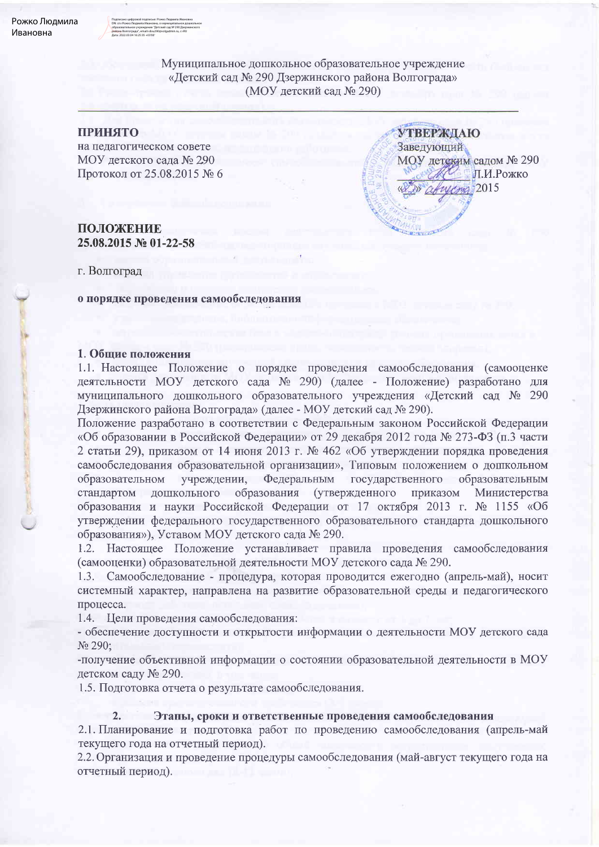Муниципальное дошкольное образовательное учреждение «Детский сад № 290 Дзержинского района Волгограда» (МОУ детский сад № 290)

**УТВЕРЖДАЮ** 

МОУ детским садом № 290

 $V$ Czyg 2015

Л.И.Рожко

Заведующий

### **ПРИНЯТО**

на педагогическом совете МОУ детского сада № 290 Протокол от 25.08.2015 № 6

## ПОЛОЖЕНИЕ 25.08.2015 № 01-22-58

г. Волгоград

о порядке проведения самообследования

## 1. Общие положения

1.1. Настоящее Положение о порядке проведения самообследования (самооценке деятельности МОУ детского сада № 290) (далее - Положение) разработано для муниципального дошкольного образовательного учреждения «Детский сад № 290 Дзержинского района Волгограда» (далее - МОУ детский сад № 290).

Положение разработано в соответствии с Федеральным законом Российской Федерации «Об образовании в Российской Федерации» от 29 декабря 2012 года № 273-ФЗ (п.3 части 2 статьи 29), приказом от 14 июня 2013 г. № 462 «Об утверждении порядка проведения самообследования образовательной организации», Типовым положением о дошкольном учреждении, Федеральным государственного образовательном образовательным дошкольного образования (утвержденного приказом стандартом Министерства образования и науки Российской Федерации от 17 октября 2013 г. № 1155 «Об утверждении федерального государственного образовательного стандарта дошкольного образования»), Уставом МОУ детского сада № 290.

1.2. Настоящее Положение устанавливает правила проведения самообследования (самооценки) образовательной деятельности МОУ детского сада № 290.

1.3. Самообследование - процедура, которая проводится ежегодно (апрель-май), носит системный характер, направлена на развитие образовательной среды и педагогического процесса.

1.4. Цели проведения самообследования:

- обеспечение доступности и открытости информации о деятельности МОУ детского сада No 290:

-получение объективной информации о состоянии образовательной деятельности в МОУ детском саду № 290.

1.5. Подготовка отчета о результате самообследования.

#### $2.$ Этапы, сроки и ответственные проведения самообследования

2.1. Планирование и подготовка работ по проведению самообследования (апрель-май текущего года на отчетный период).

2.2. Организация и проведение процедуры самообследования (май-август текущего года на отчетный период).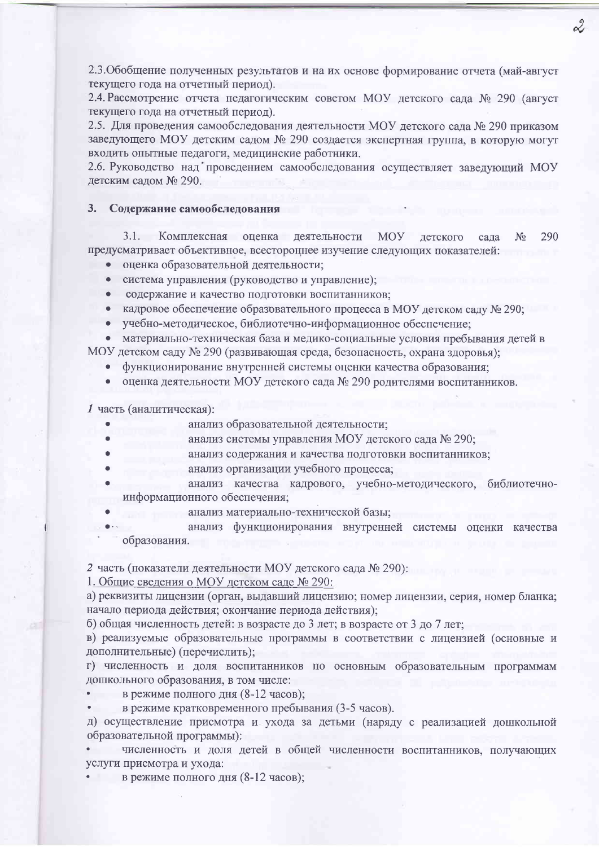2.3. Обобщение полученных результатов и на их основе формирование отчета (май-август текущего года на отчетный период).

2.4. Рассмотрение отчета педагогическим советом МОУ детского сада № 290 (август текущего года на отчетный период).

2.5. Для проведения самообследования деятельности МОУ детского сада № 290 приказом заведующего МОУ детским садом № 290 создается экспертная группа, в которую могут входить опытные педагоги, медицинские работники.

2.6. Руководство над проведением самообследования осуществляет заведующий МОУ детским садом № 290.

#### $3<sub>1</sub>$ Содержание самообследования

3.1. Комплексная оценка деятельности 290 **MOY** летского сала  $N_2$ предусматривает объективное, всестороннее изучение следующих показателей:

- оценка образовательной деятельности;
- $\bullet$ система управления (руководство и управление);
- содержание и качество подготовки воспитанников;
- кадровое обеспечение образовательного процесса в МОУ детском саду № 290;
- учебно-методическое, библиотечно-информационное обеспечение;

• материально-техническая база и медико-социальные условия пребывания детей в МОУ детском саду № 290 (развивающая среда, безопасность, охрана здоровья);

- 
- функционирование внутренней системы оценки качества образования;
- оценка деятельности МОУ детского сада № 290 родителями воспитанников.

1 часть (аналитическая):

- анализ образовательной деятельности;
- анализ системы управления МОУ детского сада № 290;
	- анализ содержания и качества подготовки воспитанников;
- анализ организации учебного процесса;
- анализ качества кадрового, учебно-методического, библиотечноинформационного обеспечения;
- анализ материально-технической базы;
- анализ функционирования внутренней системы оценки качества образования.

2 часть (показатели деятельности МОУ детского сада № 290):

1. Общие сведения о МОУ детском саде № 290:

а) реквизиты лицензии (орган, выдавший лицензию; номер лицензии, серия, номер бланка; начало периода действия; окончание периода действия);

б) общая численность детей: в возрасте до 3 лет; в возрасте от 3 до 7 лет;

в) реализуемые образовательные программы в соответствии с лицензией (основные и дополнительные) (перечислить);

г) численность и доля воспитанников по основным образовательным программам дошкольного образования, в том числе:

- в режиме полного дня (8-12 часов);
- в режиме кратковременного пребывания (3-5 часов).

д) осуществление присмотра и ухода за детьми (наряду с реализацией дошкольной образовательной программы):

численность и доля детей в общей численности воспитанников, получающих услуги присмотра и ухода:

в режиме полного дня (8-12 часов);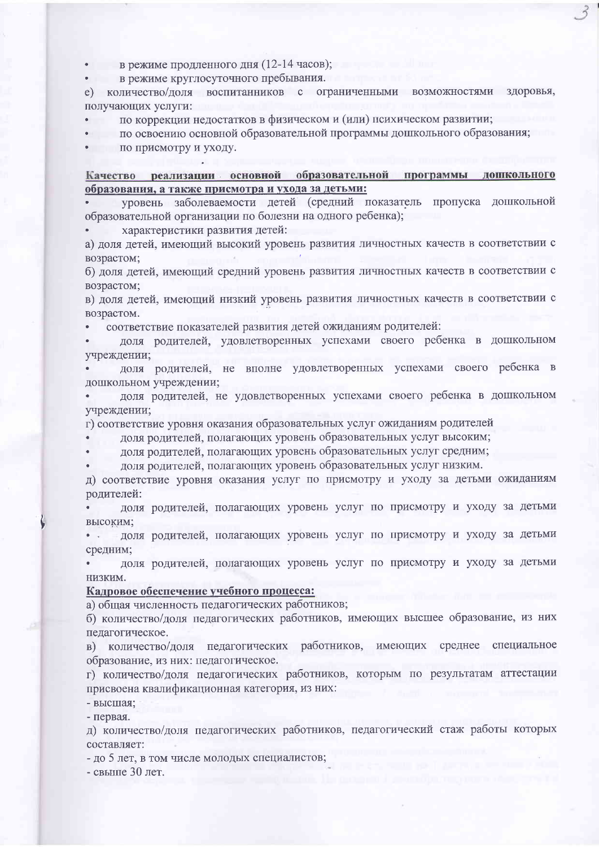в режиме продленного дня (12-14 часов);

в режиме круглосуточного пребывания.

е) количество/доля воспитанников с ограниченными возможностями здоровья, получающих услуги:

по коррекции недостатков в физическом и (или) психическом развитии;

по освоению основной образовательной программы дошкольного образования;

по присмотру и уходу.

Качество реализации основной образовательной программы дошкольного образования, а также присмотра и ухода за детьми:

уровень заболеваемости детей (средний показатель пропуска дошкольной образовательной организации по болезни на одного ребенка);

характеристики развития детей:

а) доля детей, имеющий высокий уровень развития личностных качеств в соответствии с возрастом;

б) доля детей, имеющий средний уровень развития личностных качеств в соответствии с возрастом;

в) доля детей, имеющий низкий уровень развития личностных качеств в соответствии с возрастом.

соответствие показателей развития детей ожиданиям родителей:

доля родителей, удовлетворенных успехами своего ребенка в дошкольном учреждении;

доля родителей, не вполне удовлетворенных успехами своего ребенка в дошкольном учреждении;

доля родителей, не удовлетворенных успехами своего ребенка в дошкольном учреждении;

г) соответствие уровня оказания образовательных услуг ожиданиям родителей

доля родителей, полагающих уровень образовательных услуг высоким;

доля родителей, полагающих уровень образовательных услуг средним;

доля родителей, полагающих уровень образовательных услуг низким.

д) соответствие уровня оказания услуг по присмотру и уходу за детьми ожиданиям родителей:

доля родителей, полагающих уровень услуг по присмотру и уходу за детьми высоким;

доля родителей, полагающих уровень услуг по присмотру и уходу за детьми средним;

доля родителей, полагающих уровень услуг по присмотру и уходу за детьми низким.

### Кадровое обеспечение учебного процесса:

а) общая численность педагогических работников;

б) количество/доля педагогических работников, имеющих высшее образование, из них педагогическое.

в) количество/доля педагогических работников, имеющих среднее специальное образование, из них: педагогическое.

г) количество/доля педагогических работников, которым по результатам аттестации присвоена квалификационная категория, из них:

- высшая;

- первая.

д) количество/доля педагогических работников, педагогический стаж работы которых составляет:

- до 5 лет, в том числе молодых специалистов;

- свыше 30 лет.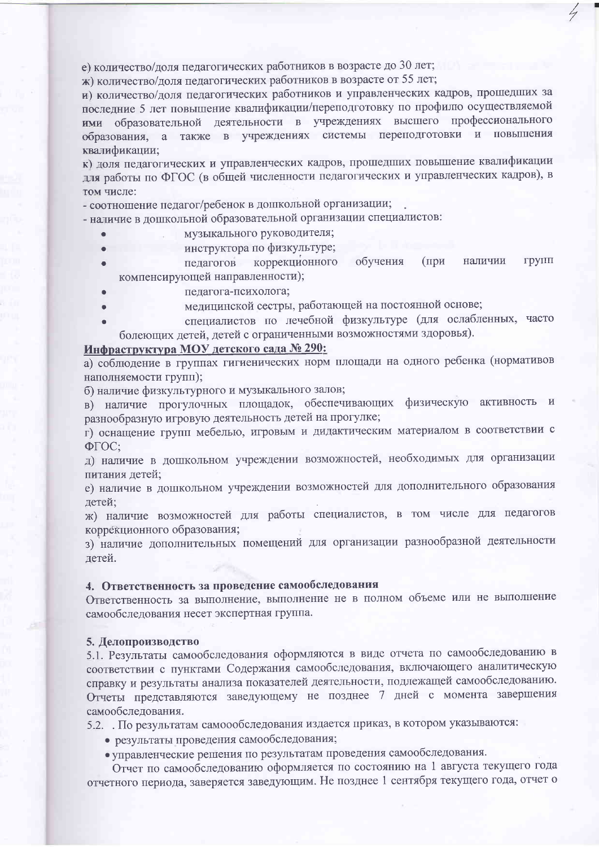е) количество/доля педагогических работников в возрасте до 30 лет;

ж) количество/доля педагогических работников в возрасте от 55 лет;

и) количество/доля педагогических работников и управленческих кадров, прошедших за последние 5 лет повышение квалификации/переподготовку по профилю осуществляемой ими образовательной деятельности в учреждениях высшего профессионального образования, а также в учреждениях системы переподготовки и повышения квалификации;

к) доля педагогических и управленческих кадров, прошедших повышение квалификации для работы по ФГОС (в общей численности педагогических и управленческих кадров), в том числе:

- соотношение педагог/ребенок в дошкольной организации;

- наличие в дошкольной образовательной организации специалистов:

- музыкального руководителя;
- инструктора по физкультуре;
- коррекционного обучения (при наличии **ГРУПП** пелагогов компенсирующей направленности);
- педагога-психолога;
- медицинской сестры, работающей на постоянной основе;
- специалистов по лечебной физкультуре (для ослабленных, часто болеющих детей, детей с ограниченными возможностями здоровья).

# Инфраструктура МОУ детского сада № 290:

а) соблюдение в группах гигиенических норм площади на одного ребенка (нормативов наполняемости групп);

б) наличие физкультурного и музыкального залов;

в) наличие прогулочных площадок, обеспечивающих физическую активность и разнообразную игровую деятельность детей на прогулке;

г) оснащение групп мебелью, игровым и дидактическим материалом в соответствии с ФГОС:

д) наличие в дошкольном учреждении возможностей, необходимых для организации питания детей;

е) наличие в дошкольном учреждении возможностей для дополнительного образования детей;

ж) наличие возможностей для работы специалистов, в том числе для педагогов коррекционного образования;

з) наличие дополнительных помещений для организации разнообразной деятельности детей.

### 4. Ответственность за проведение самообследования

Ответственность за выполнение, выполнение не в полном объеме или не выполнение самообследования несет экспертная группа.

### 5. Делопроизводство

5.1. Результаты самообследования оформляются в виде отчета по самообследованию в соответствии с пунктами Содержания самообследования, включающего аналитическую справку и результаты анализа показателей деятельности, подлежащей самообследованию. Отчеты представляются заведующему не позднее 7 дней с момента завершения самообследования.

5.2. По результатам самоообследования издается приказ, в котором указываются:

- результаты проведения самообследования;
- управленческие решения по результатам проведения самообследования.

Отчет по самообследованию оформляется по состоянию на 1 августа текущего года отчетного периода, заверяется заведующим. Не позднее 1 сентября текущего года, отчет о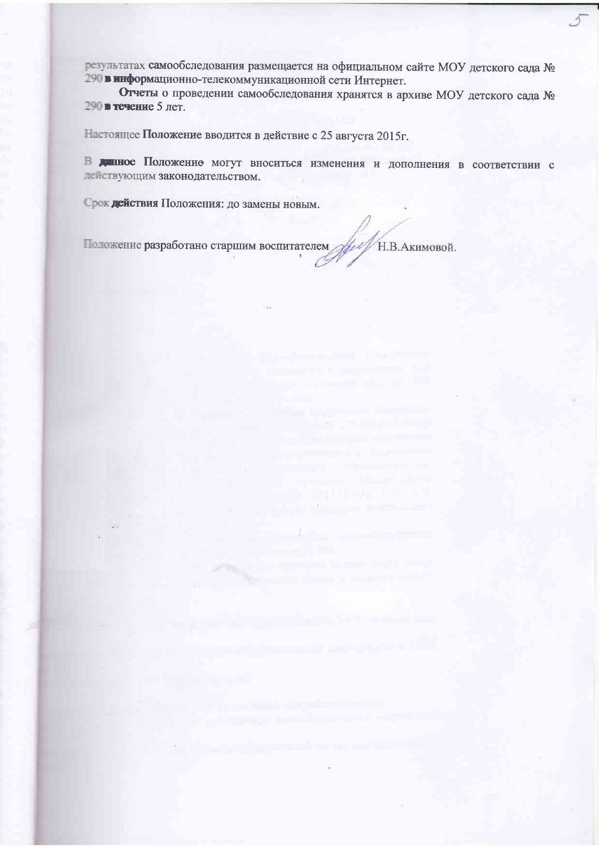результатах самообследования размещается на официальном сайте МОУ детского сада № 290 в информационно-телекоммуникационной сети Интернет.

Отчеты о проведении самообследования хранятся в архиве МОУ детского сада № 290 в течение 5 лет.

Настоящее Положение вводится в действие с 25 августа 2015г.

В денное Положение могут вноситься изменения и дополнения в соответствии с действующим законодательством.

Срок действия Положения: до замены новым.

Н.В. Акимовой. Положение разработано старшим воспитателем